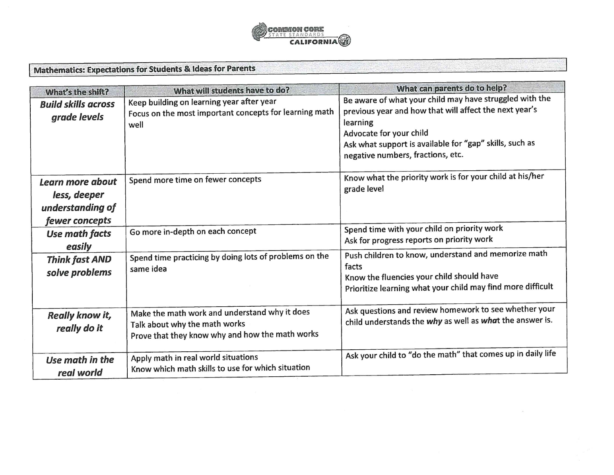

Mathematics: Expectations for Students & ideas for Parents

| What's the shift?                                                      | What will students have to do?                                                                                                    | What can parents do to help?                                                                                                                                                                                                                             |
|------------------------------------------------------------------------|-----------------------------------------------------------------------------------------------------------------------------------|----------------------------------------------------------------------------------------------------------------------------------------------------------------------------------------------------------------------------------------------------------|
| <b>Build skills across</b><br>grade levels                             | Keep building on learning year after year<br>Focus on the most important concepts for learning math<br>well                       | Be aware of what your child may have struggled with the<br>previous year and how that will affect the next year's<br>learning<br>Advocate for your child<br>Ask what support is available for "gap" skills, such as<br>negative numbers, fractions, etc. |
| Learn more about<br>less, deeper<br>understanding of<br>fewer concepts | Spend more time on fewer concepts                                                                                                 | Know what the priority work is for your child at his/her<br>grade level                                                                                                                                                                                  |
| Use math facts<br>easily                                               | Go more in-depth on each concept                                                                                                  | Spend time with your child on priority work<br>Ask for progress reports on priority work                                                                                                                                                                 |
| <b>Think fast AND</b><br>solve problems                                | Spend time practicing by doing lots of problems on the<br>same idea                                                               | Push children to know, understand and memorize math<br>facts<br>Know the fluencies your child should have<br>Prioritize learning what your child may find more difficult                                                                                 |
| Really know it,<br>really do it                                        | Make the math work and understand why it does<br>Talk about why the math works<br>Prove that they know why and how the math works | Ask questions and review homework to see whether your<br>child understands the why as well as what the answer is.                                                                                                                                        |
| Use math in the<br>real world                                          | Apply math in real world situations<br>Know which math skills to use for which situation                                          | Ask your child to "do the math" that comes up in daily life                                                                                                                                                                                              |

 $\sim$